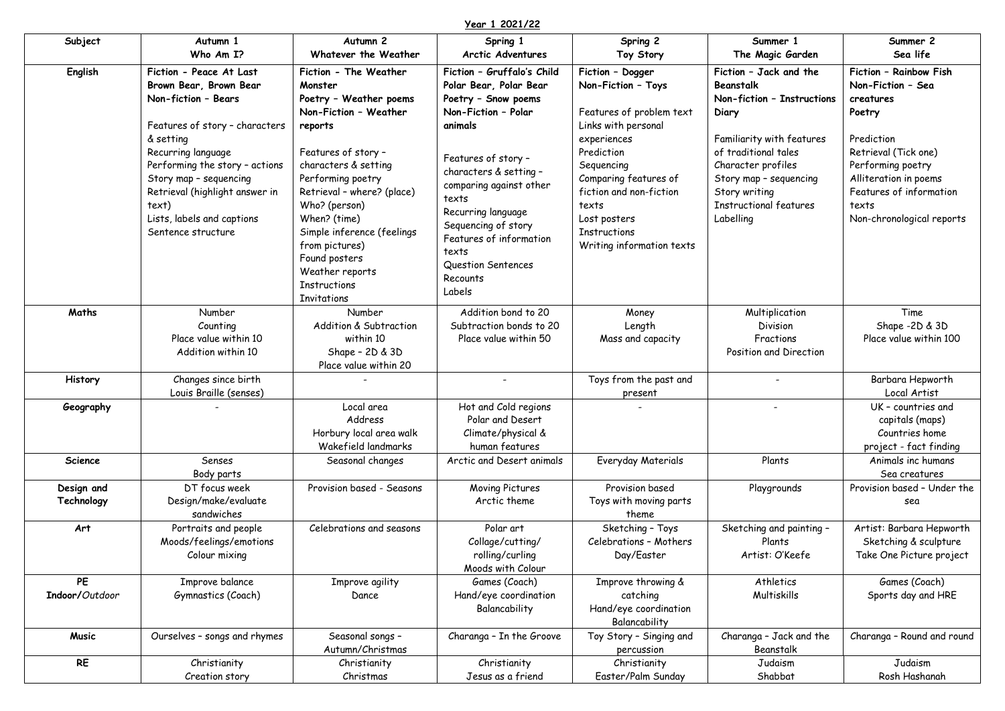## **Year 1 2021/22**

| Subject                  | Autumn 1                                                                                                                                                                                                                                                                                                 | Autumn 2                                                                                                                                                                                                                                                                                                                                     | Spring 1                                                                                                                                                                                                                                                                                                                        | Spring 2                                                                                                                                                                                                                                                              | Summer 1                                                                                                                                                                                                                                       | Summer 2                                                                                                                                                                                                                |
|--------------------------|----------------------------------------------------------------------------------------------------------------------------------------------------------------------------------------------------------------------------------------------------------------------------------------------------------|----------------------------------------------------------------------------------------------------------------------------------------------------------------------------------------------------------------------------------------------------------------------------------------------------------------------------------------------|---------------------------------------------------------------------------------------------------------------------------------------------------------------------------------------------------------------------------------------------------------------------------------------------------------------------------------|-----------------------------------------------------------------------------------------------------------------------------------------------------------------------------------------------------------------------------------------------------------------------|------------------------------------------------------------------------------------------------------------------------------------------------------------------------------------------------------------------------------------------------|-------------------------------------------------------------------------------------------------------------------------------------------------------------------------------------------------------------------------|
|                          | Who Am I?                                                                                                                                                                                                                                                                                                | Whatever the Weather                                                                                                                                                                                                                                                                                                                         | <b>Arctic Adventures</b>                                                                                                                                                                                                                                                                                                        | Toy Story                                                                                                                                                                                                                                                             | The Magic Garden                                                                                                                                                                                                                               | Sea life                                                                                                                                                                                                                |
| English                  | Fiction - Peace At Last<br>Brown Bear, Brown Bear<br>Non-fiction - Bears<br>Features of story - characters<br>& setting<br>Recurring language<br>Performing the story - actions<br>Story map - sequencing<br>Retrieval (highlight answer in<br>text)<br>Lists, labels and captions<br>Sentence structure | Fiction - The Weather<br>Monster<br>Poetry - Weather poems<br>Non-Fiction - Weather<br>reports<br>Features of story -<br>characters & setting<br>Performing poetry<br>Retrieval - where? (place)<br>Who? (person)<br>When? (time)<br>Simple inference (feelings<br>from pictures)<br>Found posters<br>Weather reports<br><b>Instructions</b> | Fiction - Gruffalo's Child<br>Polar Bear, Polar Bear<br>Poetry - Snow poems<br>Non-Fiction - Polar<br>animals<br>Features of story -<br>characters & setting -<br>comparing against other<br>texts<br>Recurring language<br>Sequencing of story<br>Features of information<br>texts<br>Question Sentences<br>Recounts<br>Labels | Fiction - Dogger<br>Non-Fiction - Toys<br>Features of problem text<br>Links with personal<br>experiences<br>Prediction<br>Sequencing<br>Comparing features of<br>fiction and non-fiction<br>texts<br>Lost posters<br><b>Instructions</b><br>Writing information texts | Fiction - Jack and the<br>Beanstalk<br>Non-fiction - Instructions<br>Diary<br>Familiarity with features<br>of traditional tales<br>Character profiles<br>Story map - sequencing<br>Story writing<br><b>Instructional features</b><br>Labelling | Fiction - Rainbow Fish<br>Non-Fiction - Sea<br>creatures<br>Poetry<br>Prediction<br>Retrieval (Tick one)<br>Performing poetry<br>Alliteration in poems<br>Features of information<br>texts<br>Non-chronological reports |
| Maths                    | Number<br>Counting<br>Place value within 10<br>Addition within 10                                                                                                                                                                                                                                        | Invitations<br>Number<br>Addition & Subtraction<br>within 10<br>Shape - 2D & 3D<br>Place value within 20                                                                                                                                                                                                                                     | Addition bond to 20<br>Subtraction bonds to 20<br>Place value within 50                                                                                                                                                                                                                                                         | Money<br>Length<br>Mass and capacity                                                                                                                                                                                                                                  | Multiplication<br>Division<br>Fractions<br>Position and Direction                                                                                                                                                                              | Time<br>Shape -2D & 3D<br>Place value within 100                                                                                                                                                                        |
| <b>History</b>           | Changes since birth<br>Louis Braille (senses)                                                                                                                                                                                                                                                            |                                                                                                                                                                                                                                                                                                                                              | $\overline{\phantom{a}}$                                                                                                                                                                                                                                                                                                        | Toys from the past and<br>present                                                                                                                                                                                                                                     | $\overline{\phantom{a}}$                                                                                                                                                                                                                       | Barbara Hepworth<br>Local Artist                                                                                                                                                                                        |
| Geography                |                                                                                                                                                                                                                                                                                                          | Local area<br>Address<br>Horbury local area walk<br>Wakefield landmarks                                                                                                                                                                                                                                                                      | Hot and Cold regions<br>Polar and Desert<br>Climate/physical &<br>human features                                                                                                                                                                                                                                                |                                                                                                                                                                                                                                                                       |                                                                                                                                                                                                                                                | UK - countries and<br>capitals (maps)<br>Countries home<br>project - fact finding                                                                                                                                       |
| <b>Science</b>           | Senses<br>Body parts                                                                                                                                                                                                                                                                                     | Seasonal changes                                                                                                                                                                                                                                                                                                                             | Arctic and Desert animals                                                                                                                                                                                                                                                                                                       | Everyday Materials                                                                                                                                                                                                                                                    | Plants                                                                                                                                                                                                                                         | Animals inc humans<br>Sea creatures                                                                                                                                                                                     |
| Design and<br>Technology | DT focus week<br>Design/make/evaluate<br>sandwiches                                                                                                                                                                                                                                                      | Provision based - Seasons                                                                                                                                                                                                                                                                                                                    | Moving Pictures<br>Arctic theme                                                                                                                                                                                                                                                                                                 | Provision based<br>Toys with moving parts<br>theme                                                                                                                                                                                                                    | Playgrounds                                                                                                                                                                                                                                    | Provision based - Under the<br>sea                                                                                                                                                                                      |
| Art                      | Portraits and people<br>Moods/feelings/emotions<br>Colour mixing                                                                                                                                                                                                                                         | Celebrations and seasons                                                                                                                                                                                                                                                                                                                     | Polar art<br>Collage/cutting/<br>rolling/curling<br>Moods with Colour                                                                                                                                                                                                                                                           | Sketching - Toys<br>Celebrations - Mothers<br>Day/Easter                                                                                                                                                                                                              | Sketching and painting -<br>Plants<br>Artist: O'Keefe                                                                                                                                                                                          | Artist: Barbara Hepworth<br>Sketching & sculpture<br>Take One Picture project                                                                                                                                           |
| PE<br>Indoor/Outdoor     | Improve balance<br>Gymnastics (Coach)                                                                                                                                                                                                                                                                    | Improve agility<br>Dance                                                                                                                                                                                                                                                                                                                     | Games (Coach)<br>Hand/eye coordination<br>Balancability                                                                                                                                                                                                                                                                         | Improve throwing &<br>catching<br>Hand/eye coordination<br>Balancability                                                                                                                                                                                              | Athletics<br>Multiskills                                                                                                                                                                                                                       | Games (Coach)<br>Sports day and HRE                                                                                                                                                                                     |
| Music                    | Ourselves - songs and rhymes                                                                                                                                                                                                                                                                             | Seasonal songs -<br>Autumn/Christmas                                                                                                                                                                                                                                                                                                         | Charanga - In the Groove                                                                                                                                                                                                                                                                                                        | Toy Story - Singing and<br>percussion                                                                                                                                                                                                                                 | Charanga - Jack and the<br>Beanstalk                                                                                                                                                                                                           | Charanga - Round and round                                                                                                                                                                                              |
| $\mathsf{RE}$            | Christianity<br>Creation story                                                                                                                                                                                                                                                                           | Christianity<br>Christmas                                                                                                                                                                                                                                                                                                                    | Christianity<br>Jesus as a friend                                                                                                                                                                                                                                                                                               | Christianity<br>Easter/Palm Sunday                                                                                                                                                                                                                                    | Judaism<br>Shabbat                                                                                                                                                                                                                             | Judaism<br>Rosh Hashanah                                                                                                                                                                                                |